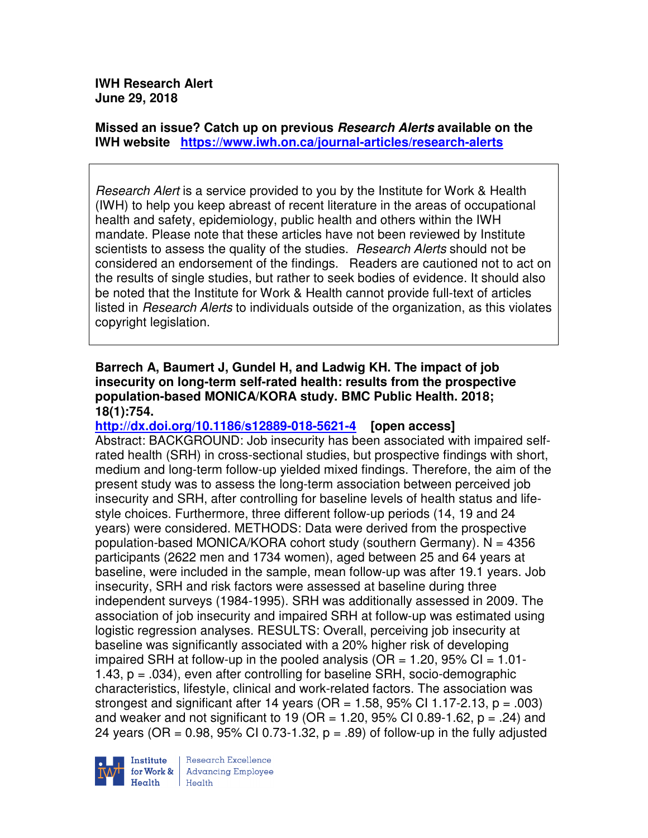**IWH Research Alert June 29, 2018** 

**Missed an issue? Catch up on previous Research Alerts available on the IWH website https://www.iwh.on.ca/journal-articles/research-alerts** 

Research Alert is a service provided to you by the Institute for Work & Health (IWH) to help you keep abreast of recent literature in the areas of occupational health and safety, epidemiology, public health and others within the IWH mandate. Please note that these articles have not been reviewed by Institute scientists to assess the quality of the studies. Research Alerts should not be considered an endorsement of the findings. Readers are cautioned not to act on the results of single studies, but rather to seek bodies of evidence. It should also be noted that the Institute for Work & Health cannot provide full-text of articles listed in Research Alerts to individuals outside of the organization, as this violates copyright legislation.

### **Barrech A, Baumert J, Gundel H, and Ladwig KH. The impact of job insecurity on long-term self-rated health: results from the prospective population-based MONICA/KORA study. BMC Public Health. 2018; 18(1):754.**

**http://dx.doi.org/10.1186/s12889-018-5621-4 [open access]** Abstract: BACKGROUND: Job insecurity has been associated with impaired selfrated health (SRH) in cross-sectional studies, but prospective findings with short, medium and long-term follow-up yielded mixed findings. Therefore, the aim of the present study was to assess the long-term association between perceived job insecurity and SRH, after controlling for baseline levels of health status and lifestyle choices. Furthermore, three different follow-up periods (14, 19 and 24 years) were considered. METHODS: Data were derived from the prospective population-based MONICA/KORA cohort study (southern Germany).  $N = 4356$ participants (2622 men and 1734 women), aged between 25 and 64 years at baseline, were included in the sample, mean follow-up was after 19.1 years. Job insecurity, SRH and risk factors were assessed at baseline during three independent surveys (1984-1995). SRH was additionally assessed in 2009. The association of job insecurity and impaired SRH at follow-up was estimated using logistic regression analyses. RESULTS: Overall, perceiving job insecurity at baseline was significantly associated with a 20% higher risk of developing impaired SRH at follow-up in the pooled analysis ( $OR = 1.20$ ,  $95\% CI = 1.01$ -1.43,  $p = .034$ , even after controlling for baseline SRH, socio-demographic characteristics, lifestyle, clinical and work-related factors. The association was strongest and significant after 14 years (OR = 1.58,  $95\%$  CI 1.17-2.13, p = .003) and weaker and not significant to 19 (OR = 1.20, 95% CI 0.89-1.62,  $p = .24$ ) and 24 years (OR =  $0.98$ ,  $95\%$  CI 0.73-1.32, p = .89) of follow-up in the fully adjusted



Research Excellence **Advancing Employee** Health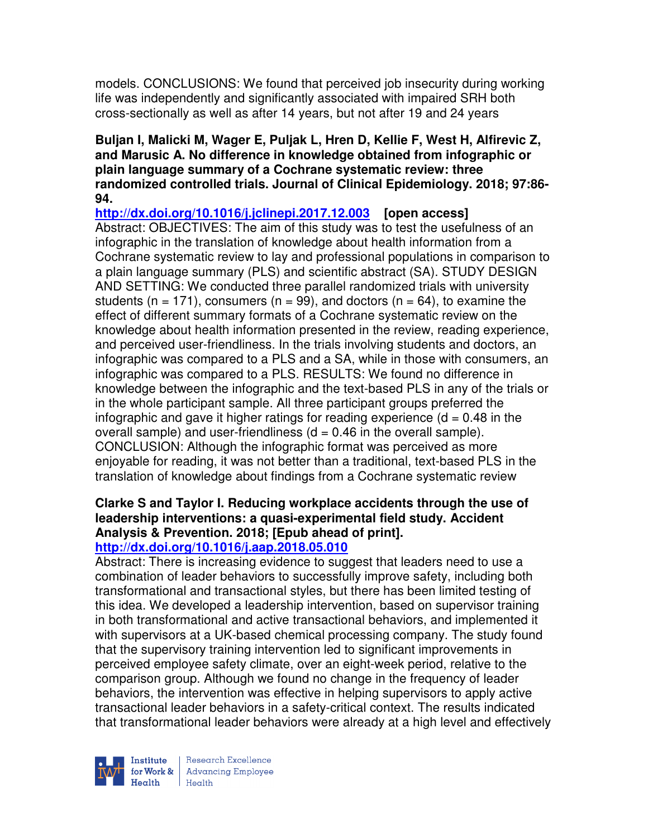models. CONCLUSIONS: We found that perceived job insecurity during working life was independently and significantly associated with impaired SRH both cross-sectionally as well as after 14 years, but not after 19 and 24 years

### **Buljan I, Malicki M, Wager E, Puljak L, Hren D, Kellie F, West H, Alfirevic Z, and Marusic A. No difference in knowledge obtained from infographic or plain language summary of a Cochrane systematic review: three randomized controlled trials. Journal of Clinical Epidemiology. 2018; 97:86- 94.**

**http://dx.doi.org/10.1016/j.jclinepi.2017.12.003 [open access]** Abstract: OBJECTIVES: The aim of this study was to test the usefulness of an infographic in the translation of knowledge about health information from a Cochrane systematic review to lay and professional populations in comparison to a plain language summary (PLS) and scientific abstract (SA). STUDY DESIGN AND SETTING: We conducted three parallel randomized trials with university students ( $n = 171$ ), consumers ( $n = 99$ ), and doctors ( $n = 64$ ), to examine the effect of different summary formats of a Cochrane systematic review on the knowledge about health information presented in the review, reading experience, and perceived user-friendliness. In the trials involving students and doctors, an infographic was compared to a PLS and a SA, while in those with consumers, an infographic was compared to a PLS. RESULTS: We found no difference in knowledge between the infographic and the text-based PLS in any of the trials or in the whole participant sample. All three participant groups preferred the infographic and gave it higher ratings for reading experience  $(d = 0.48$  in the overall sample) and user-friendliness  $(d = 0.46$  in the overall sample). CONCLUSION: Although the infographic format was perceived as more enjoyable for reading, it was not better than a traditional, text-based PLS in the translation of knowledge about findings from a Cochrane systematic review

# **Clarke S and Taylor I. Reducing workplace accidents through the use of leadership interventions: a quasi-experimental field study. Accident Analysis & Prevention. 2018; [Epub ahead of print].**

## **http://dx.doi.org/10.1016/j.aap.2018.05.010**

Abstract: There is increasing evidence to suggest that leaders need to use a combination of leader behaviors to successfully improve safety, including both transformational and transactional styles, but there has been limited testing of this idea. We developed a leadership intervention, based on supervisor training in both transformational and active transactional behaviors, and implemented it with supervisors at a UK-based chemical processing company. The study found that the supervisory training intervention led to significant improvements in perceived employee safety climate, over an eight-week period, relative to the comparison group. Although we found no change in the frequency of leader behaviors, the intervention was effective in helping supervisors to apply active transactional leader behaviors in a safety-critical context. The results indicated that transformational leader behaviors were already at a high level and effectively



Research Excellence for Work & | Advancing Employee Health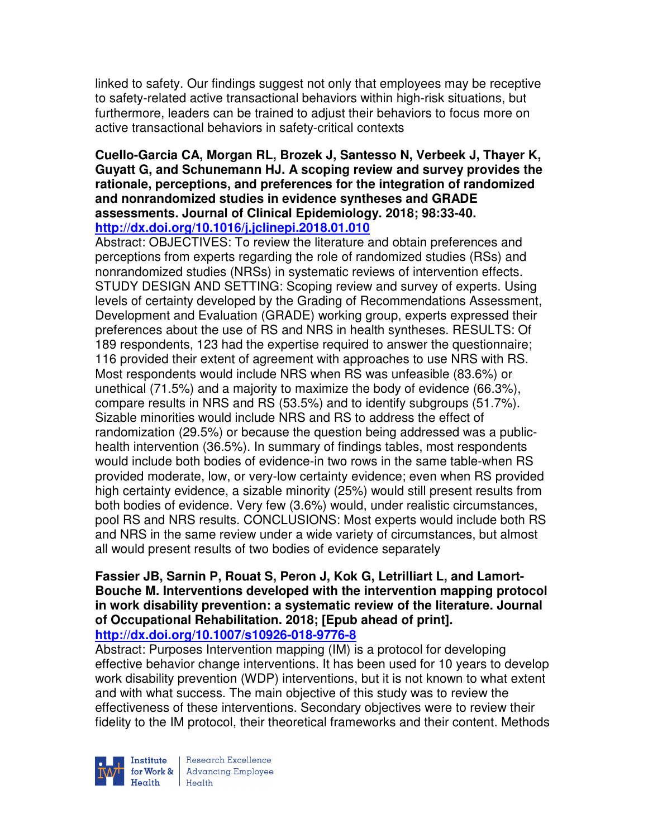linked to safety. Our findings suggest not only that employees may be receptive to safety-related active transactional behaviors within high-risk situations, but furthermore, leaders can be trained to adjust their behaviors to focus more on active transactional behaviors in safety-critical contexts

#### **Cuello-Garcia CA, Morgan RL, Brozek J, Santesso N, Verbeek J, Thayer K, Guyatt G, and Schunemann HJ. A scoping review and survey provides the rationale, perceptions, and preferences for the integration of randomized and nonrandomized studies in evidence syntheses and GRADE assessments. Journal of Clinical Epidemiology. 2018; 98:33-40. http://dx.doi.org/10.1016/j.jclinepi.2018.01.010**

Abstract: OBJECTIVES: To review the literature and obtain preferences and perceptions from experts regarding the role of randomized studies (RSs) and nonrandomized studies (NRSs) in systematic reviews of intervention effects. STUDY DESIGN AND SETTING: Scoping review and survey of experts. Using levels of certainty developed by the Grading of Recommendations Assessment, Development and Evaluation (GRADE) working group, experts expressed their preferences about the use of RS and NRS in health syntheses. RESULTS: Of 189 respondents, 123 had the expertise required to answer the questionnaire; 116 provided their extent of agreement with approaches to use NRS with RS. Most respondents would include NRS when RS was unfeasible (83.6%) or unethical (71.5%) and a majority to maximize the body of evidence (66.3%), compare results in NRS and RS (53.5%) and to identify subgroups (51.7%). Sizable minorities would include NRS and RS to address the effect of randomization (29.5%) or because the question being addressed was a publichealth intervention (36.5%). In summary of findings tables, most respondents would include both bodies of evidence-in two rows in the same table-when RS provided moderate, low, or very-low certainty evidence; even when RS provided high certainty evidence, a sizable minority (25%) would still present results from both bodies of evidence. Very few (3.6%) would, under realistic circumstances, pool RS and NRS results. CONCLUSIONS: Most experts would include both RS and NRS in the same review under a wide variety of circumstances, but almost all would present results of two bodies of evidence separately

#### **Fassier JB, Sarnin P, Rouat S, Peron J, Kok G, Letrilliart L, and Lamort-Bouche M. Interventions developed with the intervention mapping protocol in work disability prevention: a systematic review of the literature. Journal of Occupational Rehabilitation. 2018; [Epub ahead of print]. http://dx.doi.org/10.1007/s10926-018-9776-8**

Abstract: Purposes Intervention mapping (IM) is a protocol for developing effective behavior change interventions. It has been used for 10 years to develop work disability prevention (WDP) interventions, but it is not known to what extent and with what success. The main objective of this study was to review the effectiveness of these interventions. Secondary objectives were to review their fidelity to the IM protocol, their theoretical frameworks and their content. Methods



Research Excellence for Work & | Advancing Employee  $H_{\text{each}}$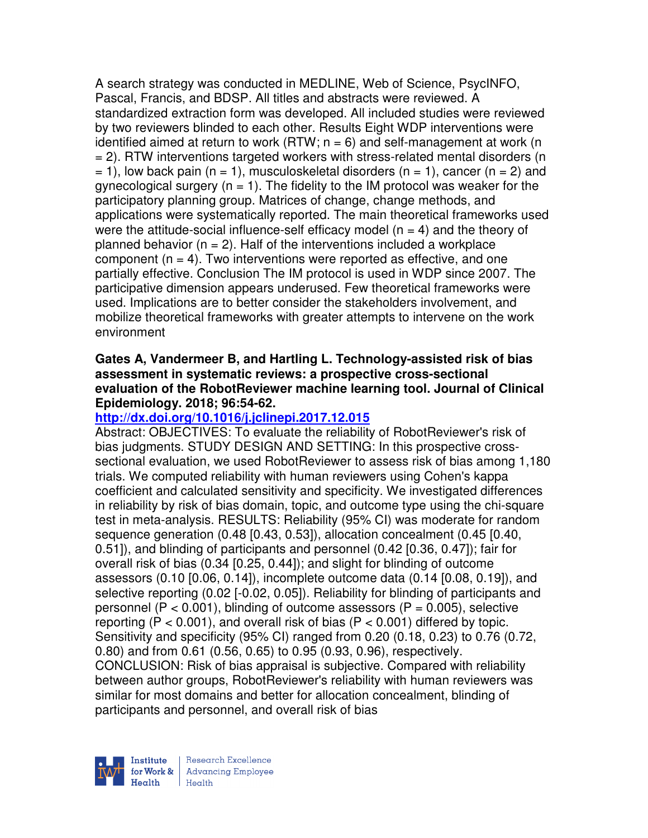A search strategy was conducted in MEDLINE, Web of Science, PsycINFO, Pascal, Francis, and BDSP. All titles and abstracts were reviewed. A standardized extraction form was developed. All included studies were reviewed by two reviewers blinded to each other. Results Eight WDP interventions were identified aimed at return to work (RTW;  $n = 6$ ) and self-management at work (n = 2). RTW interventions targeted workers with stress-related mental disorders (n  $= 1$ ), low back pain (n  $= 1$ ), musculoskeletal disorders (n  $= 1$ ), cancer (n  $= 2$ ) and gynecological surgery  $(n = 1)$ . The fidelity to the IM protocol was weaker for the participatory planning group. Matrices of change, change methods, and applications were systematically reported. The main theoretical frameworks used were the attitude-social influence-self efficacy model  $(n = 4)$  and the theory of planned behavior  $(n = 2)$ . Half of the interventions included a workplace component  $(n = 4)$ . Two interventions were reported as effective, and one partially effective. Conclusion The IM protocol is used in WDP since 2007. The participative dimension appears underused. Few theoretical frameworks were used. Implications are to better consider the stakeholders involvement, and mobilize theoretical frameworks with greater attempts to intervene on the work environment

#### **Gates A, Vandermeer B, and Hartling L. Technology-assisted risk of bias assessment in systematic reviews: a prospective cross-sectional evaluation of the RobotReviewer machine learning tool. Journal of Clinical Epidemiology. 2018; 96:54-62.**

## **http://dx.doi.org/10.1016/j.jclinepi.2017.12.015**

Abstract: OBJECTIVES: To evaluate the reliability of RobotReviewer's risk of bias judgments. STUDY DESIGN AND SETTING: In this prospective crosssectional evaluation, we used RobotReviewer to assess risk of bias among 1,180 trials. We computed reliability with human reviewers using Cohen's kappa coefficient and calculated sensitivity and specificity. We investigated differences in reliability by risk of bias domain, topic, and outcome type using the chi-square test in meta-analysis. RESULTS: Reliability (95% CI) was moderate for random sequence generation (0.48 [0.43, 0.53]), allocation concealment (0.45 [0.40, 0.51]), and blinding of participants and personnel (0.42 [0.36, 0.47]); fair for overall risk of bias (0.34 [0.25, 0.44]); and slight for blinding of outcome assessors (0.10 [0.06, 0.14]), incomplete outcome data (0.14 [0.08, 0.19]), and selective reporting (0.02 [-0.02, 0.05]). Reliability for blinding of participants and personnel ( $P < 0.001$ ), blinding of outcome assessors ( $P = 0.005$ ), selective reporting ( $P < 0.001$ ), and overall risk of bias ( $P < 0.001$ ) differed by topic. Sensitivity and specificity (95% CI) ranged from 0.20 (0.18, 0.23) to 0.76 (0.72, 0.80) and from 0.61 (0.56, 0.65) to 0.95 (0.93, 0.96), respectively. CONCLUSION: Risk of bias appraisal is subjective. Compared with reliability between author groups, RobotReviewer's reliability with human reviewers was similar for most domains and better for allocation concealment, blinding of participants and personnel, and overall risk of bias



Research Excellence for Work & | Advancing Employee Health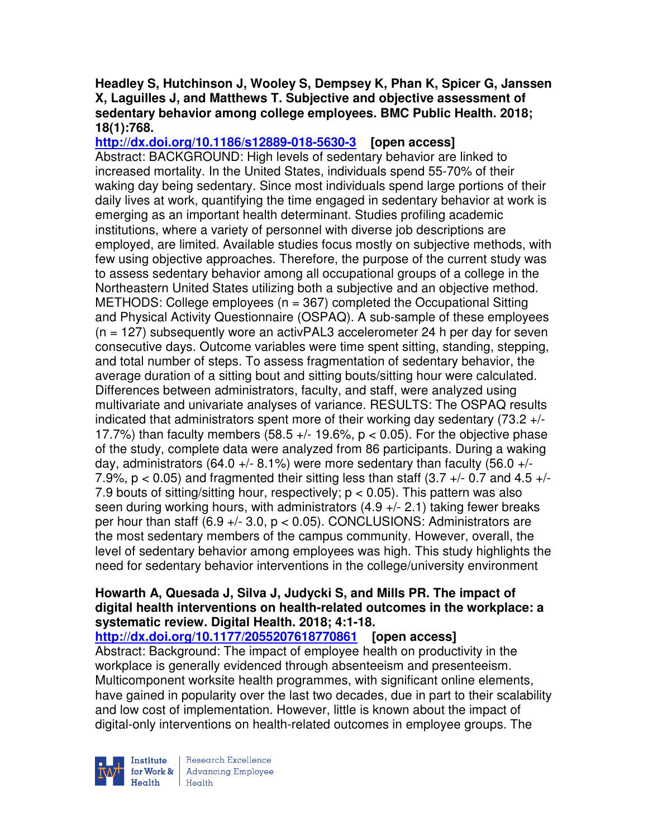## **Headley S, Hutchinson J, Wooley S, Dempsey K, Phan K, Spicer G, Janssen X, Laguilles J, and Matthews T. Subjective and objective assessment of sedentary behavior among college employees. BMC Public Health. 2018; 18(1):768.**

**http://dx.doi.org/10.1186/s12889-018-5630-3 [open access]** Abstract: BACKGROUND: High levels of sedentary behavior are linked to increased mortality. In the United States, individuals spend 55-70% of their waking day being sedentary. Since most individuals spend large portions of their daily lives at work, quantifying the time engaged in sedentary behavior at work is emerging as an important health determinant. Studies profiling academic institutions, where a variety of personnel with diverse job descriptions are employed, are limited. Available studies focus mostly on subjective methods, with few using objective approaches. Therefore, the purpose of the current study was to assess sedentary behavior among all occupational groups of a college in the Northeastern United States utilizing both a subjective and an objective method. METHODS: College employees (n = 367) completed the Occupational Sitting and Physical Activity Questionnaire (OSPAQ). A sub-sample of these employees  $(n = 127)$  subsequently wore an activPAL3 accelerometer 24 h per day for seven consecutive days. Outcome variables were time spent sitting, standing, stepping, and total number of steps. To assess fragmentation of sedentary behavior, the average duration of a sitting bout and sitting bouts/sitting hour were calculated. Differences between administrators, faculty, and staff, were analyzed using multivariate and univariate analyses of variance. RESULTS: The OSPAQ results indicated that administrators spent more of their working day sedentary (73.2 +/- 17.7%) than faculty members (58.5  $+/-$  19.6%, p  $<$  0.05). For the objective phase of the study, complete data were analyzed from 86 participants. During a waking day, administrators (64.0 +/- 8.1%) were more sedentary than faculty (56.0 +/-7.9%,  $p < 0.05$ ) and fragmented their sitting less than staff (3.7  $+/- 0.7$  and 4.5  $+/-$ 7.9 bouts of sitting/sitting hour, respectively; p < 0.05). This pattern was also seen during working hours, with administrators (4.9 +/- 2.1) taking fewer breaks per hour than staff  $(6.9 +/- 3.0, p < 0.05)$ . CONCLUSIONS: Administrators are the most sedentary members of the campus community. However, overall, the level of sedentary behavior among employees was high. This study highlights the need for sedentary behavior interventions in the college/university environment

## **Howarth A, Quesada J, Silva J, Judycki S, and Mills PR. The impact of digital health interventions on health-related outcomes in the workplace: a systematic review. Digital Health. 2018; 4:1-18.**

**http://dx.doi.org/10.1177/2055207618770861 [open access]**

Abstract: Background: The impact of employee health on productivity in the workplace is generally evidenced through absenteeism and presenteeism. Multicomponent worksite health programmes, with significant online elements, have gained in popularity over the last two decades, due in part to their scalability and low cost of implementation. However, little is known about the impact of digital-only interventions on health-related outcomes in employee groups. The



Research Excellence **Advancing Employee** Health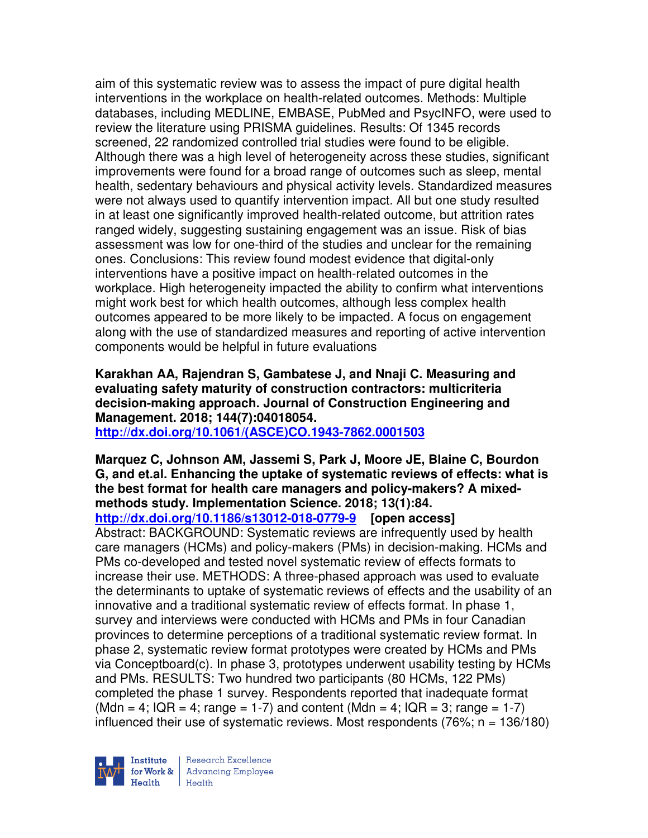aim of this systematic review was to assess the impact of pure digital health interventions in the workplace on health-related outcomes. Methods: Multiple databases, including MEDLINE, EMBASE, PubMed and PsycINFO, were used to review the literature using PRISMA guidelines. Results: Of 1345 records screened, 22 randomized controlled trial studies were found to be eligible. Although there was a high level of heterogeneity across these studies, significant improvements were found for a broad range of outcomes such as sleep, mental health, sedentary behaviours and physical activity levels. Standardized measures were not always used to quantify intervention impact. All but one study resulted in at least one significantly improved health-related outcome, but attrition rates ranged widely, suggesting sustaining engagement was an issue. Risk of bias assessment was low for one-third of the studies and unclear for the remaining ones. Conclusions: This review found modest evidence that digital-only interventions have a positive impact on health-related outcomes in the workplace. High heterogeneity impacted the ability to confirm what interventions might work best for which health outcomes, although less complex health outcomes appeared to be more likely to be impacted. A focus on engagement along with the use of standardized measures and reporting of active intervention components would be helpful in future evaluations

## **Karakhan AA, Rajendran S, Gambatese J, and Nnaji C. Measuring and evaluating safety maturity of construction contractors: multicriteria decision-making approach. Journal of Construction Engineering and Management. 2018; 144(7):04018054.**

**http://dx.doi.org/10.1061/(ASCE)CO.1943-7862.0001503** 

#### **Marquez C, Johnson AM, Jassemi S, Park J, Moore JE, Blaine C, Bourdon G, and et.al. Enhancing the uptake of systematic reviews of effects: what is the best format for health care managers and policy-makers? A mixedmethods study. Implementation Science. 2018; 13(1):84. http://dx.doi.org/10.1186/s13012-018-0779-9 [open access]**

Abstract: BACKGROUND: Systematic reviews are infrequently used by health care managers (HCMs) and policy-makers (PMs) in decision-making. HCMs and PMs co-developed and tested novel systematic review of effects formats to increase their use. METHODS: A three-phased approach was used to evaluate the determinants to uptake of systematic reviews of effects and the usability of an innovative and a traditional systematic review of effects format. In phase 1, survey and interviews were conducted with HCMs and PMs in four Canadian provinces to determine perceptions of a traditional systematic review format. In phase 2, systematic review format prototypes were created by HCMs and PMs via Conceptboard(c). In phase 3, prototypes underwent usability testing by HCMs and PMs. RESULTS: Two hundred two participants (80 HCMs, 122 PMs) completed the phase 1 survey. Respondents reported that inadequate format  $(Mdn = 4; IQR = 4; range = 1-7)$  and content  $(Mdn = 4; IQR = 3; range = 1-7)$ influenced their use of systematic reviews. Most respondents  $(76\%; n = 136/180)$ 

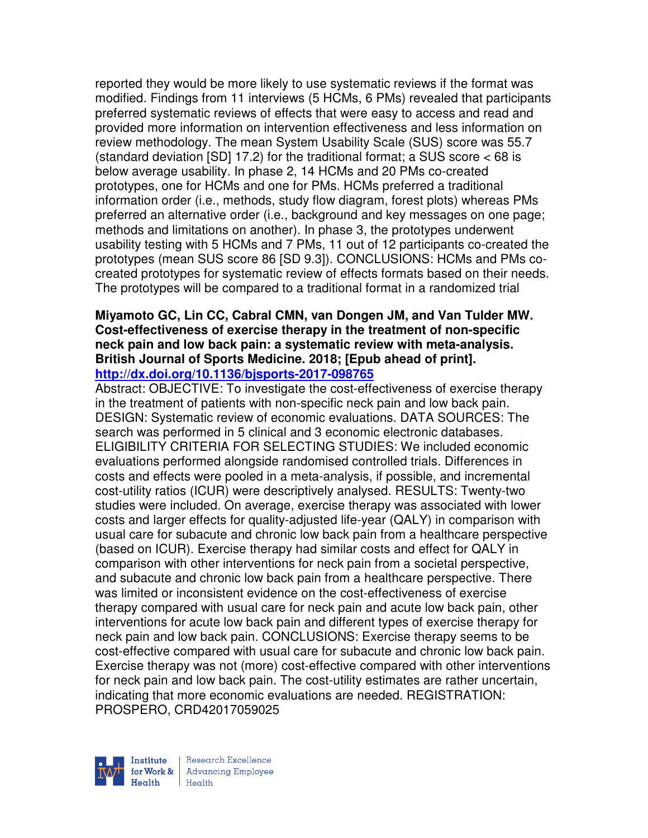reported they would be more likely to use systematic reviews if the format was modified. Findings from 11 interviews (5 HCMs, 6 PMs) revealed that participants preferred systematic reviews of effects that were easy to access and read and provided more information on intervention effectiveness and less information on review methodology. The mean System Usability Scale (SUS) score was 55.7 (standard deviation [SD] 17.2) for the traditional format; a SUS score < 68 is below average usability. In phase 2, 14 HCMs and 20 PMs co-created prototypes, one for HCMs and one for PMs. HCMs preferred a traditional information order (i.e., methods, study flow diagram, forest plots) whereas PMs preferred an alternative order (i.e., background and key messages on one page; methods and limitations on another). In phase 3, the prototypes underwent usability testing with 5 HCMs and 7 PMs, 11 out of 12 participants co-created the prototypes (mean SUS score 86 [SD 9.3]). CONCLUSIONS: HCMs and PMs cocreated prototypes for systematic review of effects formats based on their needs. The prototypes will be compared to a traditional format in a randomized trial

#### **Miyamoto GC, Lin CC, Cabral CMN, van Dongen JM, and Van Tulder MW. Cost-effectiveness of exercise therapy in the treatment of non-specific neck pain and low back pain: a systematic review with meta-analysis. British Journal of Sports Medicine. 2018; [Epub ahead of print]. http://dx.doi.org/10.1136/bjsports-2017-098765**

Abstract: OBJECTIVE: To investigate the cost-effectiveness of exercise therapy in the treatment of patients with non-specific neck pain and low back pain. DESIGN: Systematic review of economic evaluations. DATA SOURCES: The search was performed in 5 clinical and 3 economic electronic databases. ELIGIBILITY CRITERIA FOR SELECTING STUDIES: We included economic evaluations performed alongside randomised controlled trials. Differences in costs and effects were pooled in a meta-analysis, if possible, and incremental cost-utility ratios (ICUR) were descriptively analysed. RESULTS: Twenty-two studies were included. On average, exercise therapy was associated with lower costs and larger effects for quality-adjusted life-year (QALY) in comparison with usual care for subacute and chronic low back pain from a healthcare perspective (based on ICUR). Exercise therapy had similar costs and effect for QALY in comparison with other interventions for neck pain from a societal perspective, and subacute and chronic low back pain from a healthcare perspective. There was limited or inconsistent evidence on the cost-effectiveness of exercise therapy compared with usual care for neck pain and acute low back pain, other interventions for acute low back pain and different types of exercise therapy for neck pain and low back pain. CONCLUSIONS: Exercise therapy seems to be cost-effective compared with usual care for subacute and chronic low back pain. Exercise therapy was not (more) cost-effective compared with other interventions for neck pain and low back pain. The cost-utility estimates are rather uncertain, indicating that more economic evaluations are needed. REGISTRATION: PROSPERO, CRD42017059025

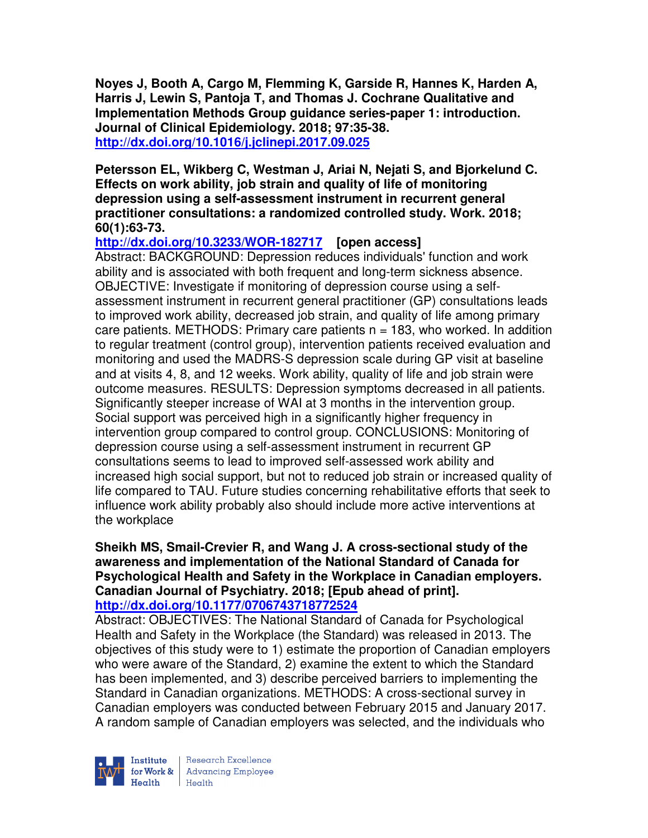**Noyes J, Booth A, Cargo M, Flemming K, Garside R, Hannes K, Harden A, Harris J, Lewin S, Pantoja T, and Thomas J. Cochrane Qualitative and Implementation Methods Group guidance series-paper 1: introduction. Journal of Clinical Epidemiology. 2018; 97:35-38. http://dx.doi.org/10.1016/j.jclinepi.2017.09.025** 

**Petersson EL, Wikberg C, Westman J, Ariai N, Nejati S, and Bjorkelund C. Effects on work ability, job strain and quality of life of monitoring depression using a self-assessment instrument in recurrent general practitioner consultations: a randomized controlled study. Work. 2018; 60(1):63-73.** 

**http://dx.doi.org/10.3233/WOR-182717 [open access]** Abstract: BACKGROUND: Depression reduces individuals' function and work ability and is associated with both frequent and long-term sickness absence. OBJECTIVE: Investigate if monitoring of depression course using a selfassessment instrument in recurrent general practitioner (GP) consultations leads to improved work ability, decreased job strain, and quality of life among primary care patients. METHODS: Primary care patients  $n = 183$ , who worked. In addition to regular treatment (control group), intervention patients received evaluation and monitoring and used the MADRS-S depression scale during GP visit at baseline and at visits 4, 8, and 12 weeks. Work ability, quality of life and job strain were outcome measures. RESULTS: Depression symptoms decreased in all patients. Significantly steeper increase of WAI at 3 months in the intervention group. Social support was perceived high in a significantly higher frequency in intervention group compared to control group. CONCLUSIONS: Monitoring of depression course using a self-assessment instrument in recurrent GP consultations seems to lead to improved self-assessed work ability and increased high social support, but not to reduced job strain or increased quality of life compared to TAU. Future studies concerning rehabilitative efforts that seek to influence work ability probably also should include more active interventions at the workplace

#### **Sheikh MS, Smail-Crevier R, and Wang J. A cross-sectional study of the awareness and implementation of the National Standard of Canada for Psychological Health and Safety in the Workplace in Canadian employers. Canadian Journal of Psychiatry. 2018; [Epub ahead of print]. http://dx.doi.org/10.1177/0706743718772524**

Abstract: OBJECTIVES: The National Standard of Canada for Psychological Health and Safety in the Workplace (the Standard) was released in 2013. The objectives of this study were to 1) estimate the proportion of Canadian employers who were aware of the Standard, 2) examine the extent to which the Standard has been implemented, and 3) describe perceived barriers to implementing the Standard in Canadian organizations. METHODS: A cross-sectional survey in Canadian employers was conducted between February 2015 and January 2017. A random sample of Canadian employers was selected, and the individuals who



Research Excellence for Work & | Advancing Employee Health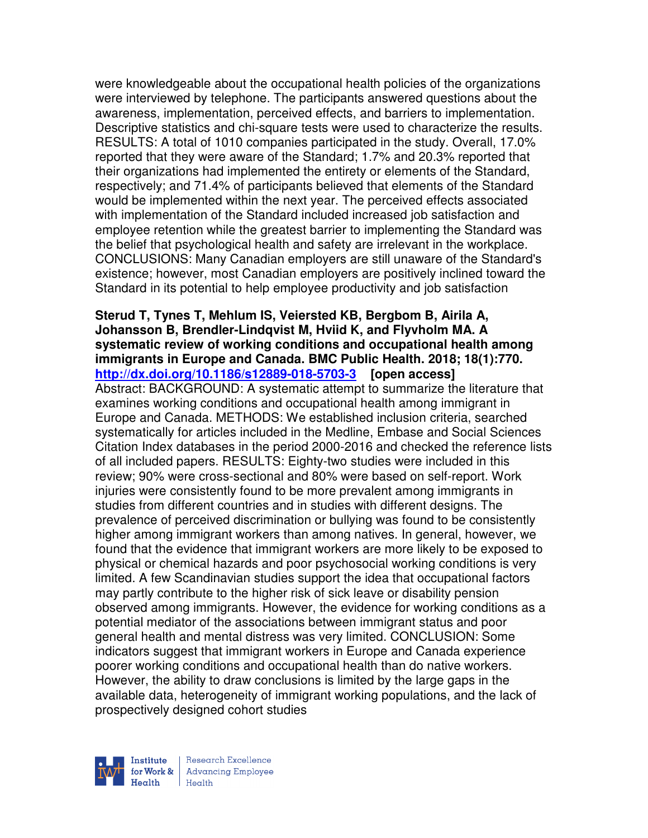were knowledgeable about the occupational health policies of the organizations were interviewed by telephone. The participants answered questions about the awareness, implementation, perceived effects, and barriers to implementation. Descriptive statistics and chi-square tests were used to characterize the results. RESULTS: A total of 1010 companies participated in the study. Overall, 17.0% reported that they were aware of the Standard; 1.7% and 20.3% reported that their organizations had implemented the entirety or elements of the Standard, respectively; and 71.4% of participants believed that elements of the Standard would be implemented within the next year. The perceived effects associated with implementation of the Standard included increased job satisfaction and employee retention while the greatest barrier to implementing the Standard was the belief that psychological health and safety are irrelevant in the workplace. CONCLUSIONS: Many Canadian employers are still unaware of the Standard's existence; however, most Canadian employers are positively inclined toward the Standard in its potential to help employee productivity and job satisfaction

**Sterud T, Tynes T, Mehlum IS, Veiersted KB, Bergbom B, Airila A, Johansson B, Brendler-Lindqvist M, Hviid K, and Flyvholm MA. A systematic review of working conditions and occupational health among immigrants in Europe and Canada. BMC Public Health. 2018; 18(1):770. http://dx.doi.org/10.1186/s12889-018-5703-3 [open access]** Abstract: BACKGROUND: A systematic attempt to summarize the literature that examines working conditions and occupational health among immigrant in Europe and Canada. METHODS: We established inclusion criteria, searched systematically for articles included in the Medline, Embase and Social Sciences Citation Index databases in the period 2000-2016 and checked the reference lists of all included papers. RESULTS: Eighty-two studies were included in this review; 90% were cross-sectional and 80% were based on self-report. Work injuries were consistently found to be more prevalent among immigrants in studies from different countries and in studies with different designs. The prevalence of perceived discrimination or bullying was found to be consistently higher among immigrant workers than among natives. In general, however, we found that the evidence that immigrant workers are more likely to be exposed to physical or chemical hazards and poor psychosocial working conditions is very limited. A few Scandinavian studies support the idea that occupational factors may partly contribute to the higher risk of sick leave or disability pension observed among immigrants. However, the evidence for working conditions as a potential mediator of the associations between immigrant status and poor general health and mental distress was very limited. CONCLUSION: Some indicators suggest that immigrant workers in Europe and Canada experience poorer working conditions and occupational health than do native workers. However, the ability to draw conclusions is limited by the large gaps in the available data, heterogeneity of immigrant working populations, and the lack of prospectively designed cohort studies

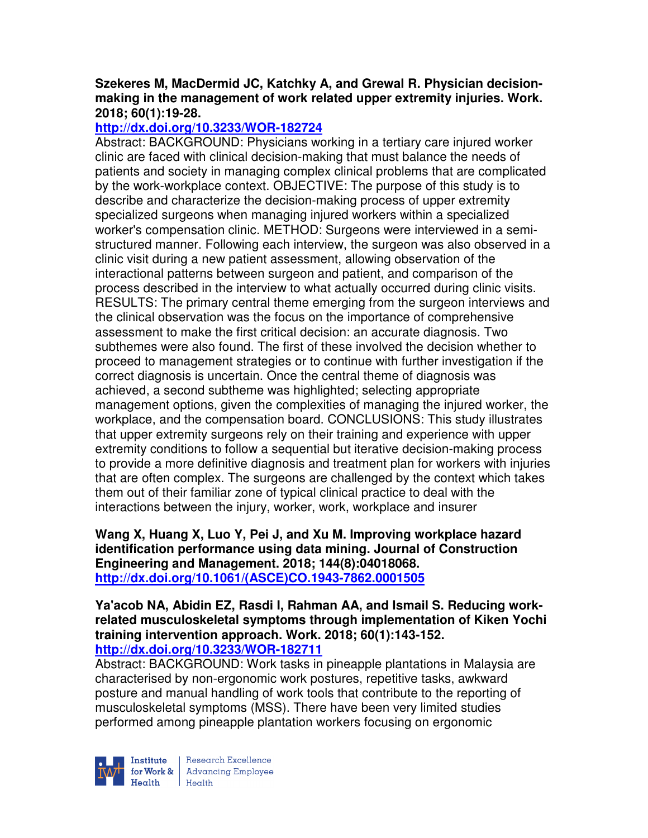### **Szekeres M, MacDermid JC, Katchky A, and Grewal R. Physician decisionmaking in the management of work related upper extremity injuries. Work. 2018; 60(1):19-28.**

## **http://dx.doi.org/10.3233/WOR-182724**

Abstract: BACKGROUND: Physicians working in a tertiary care injured worker clinic are faced with clinical decision-making that must balance the needs of patients and society in managing complex clinical problems that are complicated by the work-workplace context. OBJECTIVE: The purpose of this study is to describe and characterize the decision-making process of upper extremity specialized surgeons when managing injured workers within a specialized worker's compensation clinic. METHOD: Surgeons were interviewed in a semistructured manner. Following each interview, the surgeon was also observed in a clinic visit during a new patient assessment, allowing observation of the interactional patterns between surgeon and patient, and comparison of the process described in the interview to what actually occurred during clinic visits. RESULTS: The primary central theme emerging from the surgeon interviews and the clinical observation was the focus on the importance of comprehensive assessment to make the first critical decision: an accurate diagnosis. Two subthemes were also found. The first of these involved the decision whether to proceed to management strategies or to continue with further investigation if the correct diagnosis is uncertain. Once the central theme of diagnosis was achieved, a second subtheme was highlighted; selecting appropriate management options, given the complexities of managing the injured worker, the workplace, and the compensation board. CONCLUSIONS: This study illustrates that upper extremity surgeons rely on their training and experience with upper extremity conditions to follow a sequential but iterative decision-making process to provide a more definitive diagnosis and treatment plan for workers with injuries that are often complex. The surgeons are challenged by the context which takes them out of their familiar zone of typical clinical practice to deal with the interactions between the injury, worker, work, workplace and insurer

**Wang X, Huang X, Luo Y, Pei J, and Xu M. Improving workplace hazard identification performance using data mining. Journal of Construction Engineering and Management. 2018; 144(8):04018068. http://dx.doi.org/10.1061/(ASCE)CO.1943-7862.0001505** 

**Ya'acob NA, Abidin EZ, Rasdi I, Rahman AA, and Ismail S. Reducing workrelated musculoskeletal symptoms through implementation of Kiken Yochi training intervention approach. Work. 2018; 60(1):143-152. http://dx.doi.org/10.3233/WOR-182711** 

Abstract: BACKGROUND: Work tasks in pineapple plantations in Malaysia are characterised by non-ergonomic work postures, repetitive tasks, awkward posture and manual handling of work tools that contribute to the reporting of musculoskeletal symptoms (MSS). There have been very limited studies performed among pineapple plantation workers focusing on ergonomic



Research Excellence Financial Research Excellence<br>
Financing Employee<br>
Realth Health